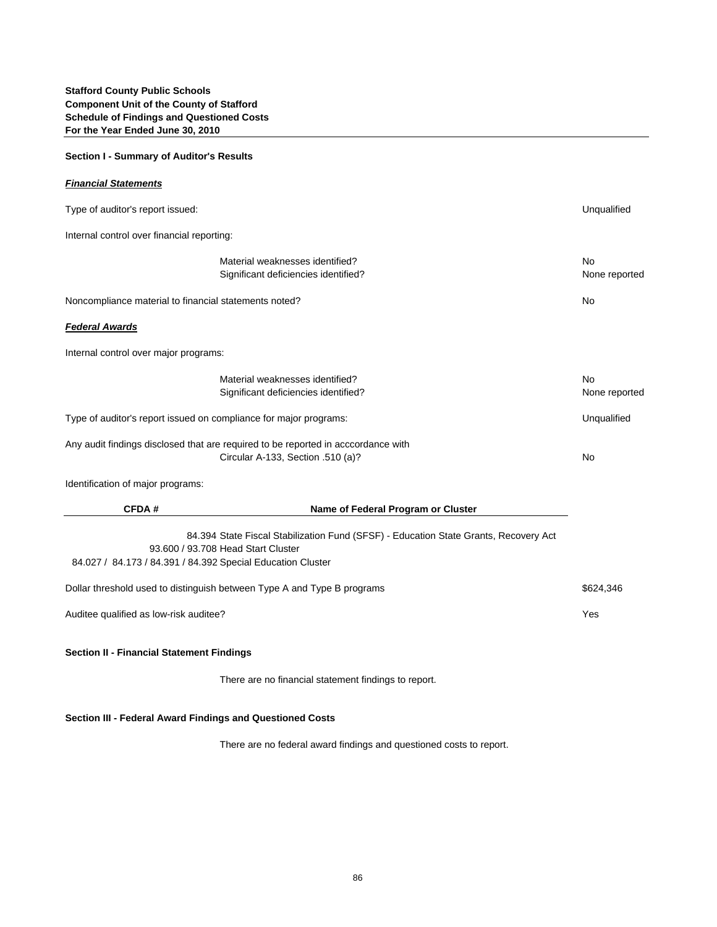## **Section I - Summary of Auditor's Results**

| <b>Financial Statements</b>                                             |                                                                                                                            |                            |
|-------------------------------------------------------------------------|----------------------------------------------------------------------------------------------------------------------------|----------------------------|
| Type of auditor's report issued:                                        |                                                                                                                            | Unqualified                |
| Internal control over financial reporting:                              |                                                                                                                            |                            |
|                                                                         | Material weaknesses identified?<br>Significant deficiencies identified?                                                    | <b>No</b><br>None reported |
| Noncompliance material to financial statements noted?                   |                                                                                                                            | <b>No</b>                  |
| <b>Federal Awards</b>                                                   |                                                                                                                            |                            |
| Internal control over major programs:                                   |                                                                                                                            |                            |
|                                                                         | Material weaknesses identified?<br>Significant deficiencies identified?                                                    | <b>No</b><br>None reported |
| Type of auditor's report issued on compliance for major programs:       |                                                                                                                            | Unqualified                |
|                                                                         | Any audit findings disclosed that are required to be reported in acccordance with<br>Circular A-133, Section .510 (a)?     | No                         |
| Identification of major programs:                                       |                                                                                                                            |                            |
| CFDA#                                                                   | Name of Federal Program or Cluster                                                                                         |                            |
| 84.027 / 84.173 / 84.391 / 84.392 Special Education Cluster             | 84.394 State Fiscal Stabilization Fund (SFSF) - Education State Grants, Recovery Act<br>93.600 / 93.708 Head Start Cluster |                            |
| Dollar threshold used to distinguish between Type A and Type B programs |                                                                                                                            | \$624,346                  |
| Auditee qualified as low-risk auditee?                                  |                                                                                                                            | Yes                        |
| <b>Section II - Financial Statement Findings</b>                        |                                                                                                                            |                            |

There are no financial statement findings to report.

## **Section III - Federal Award Findings and Questioned Costs**

There are no federal award findings and questioned costs to report.